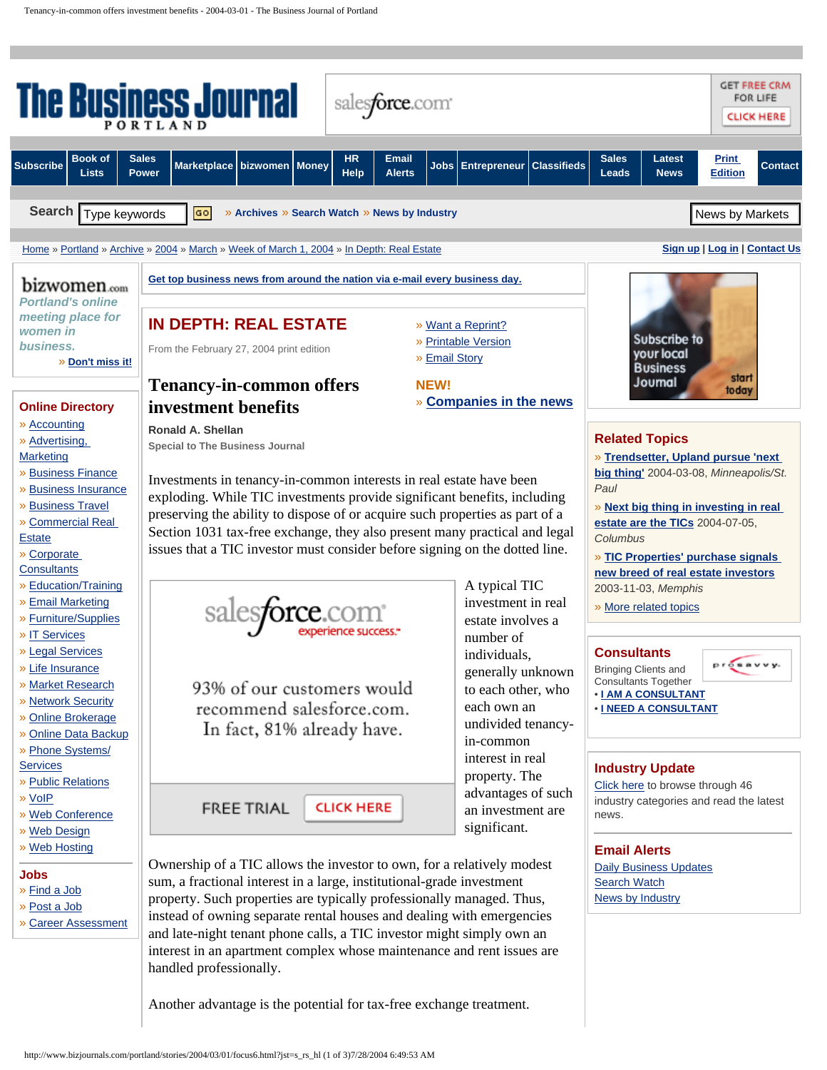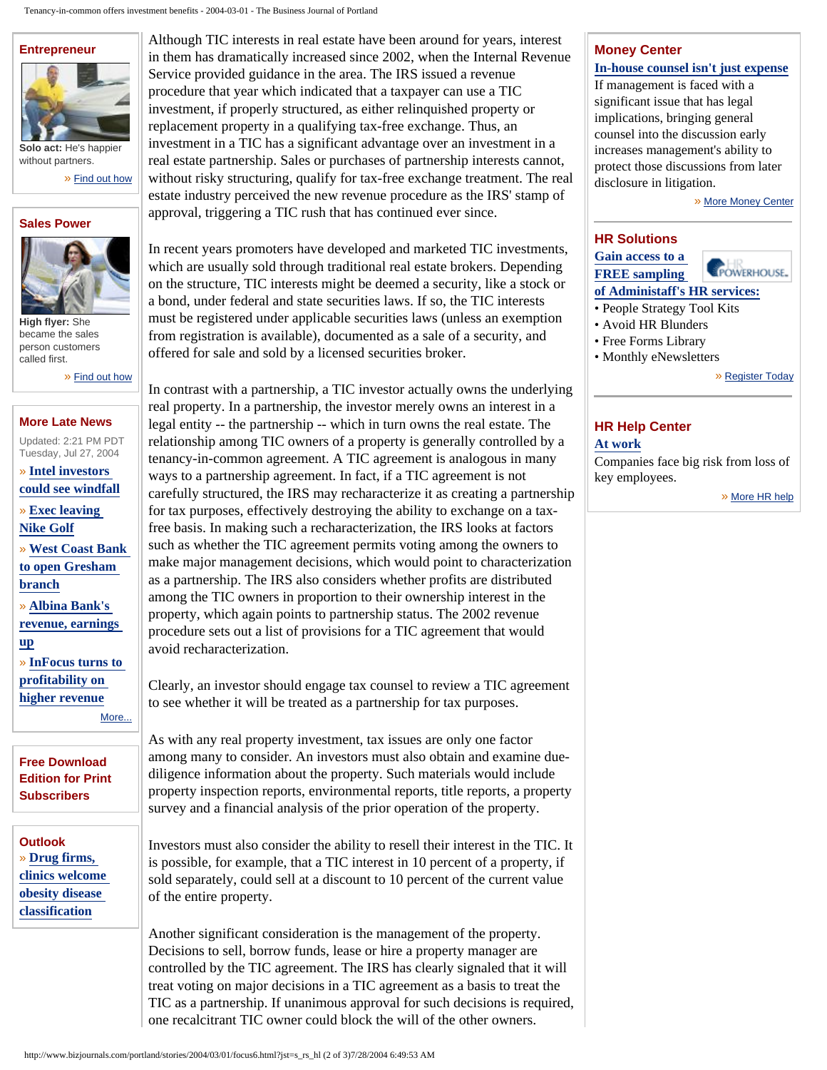## **[Entrepreneur](http://www.bizjournals.com/portland/entrepreneur/?jst=s_ep_lk)**



**Solo act:** He's happier without partners.

» [Find out how](http://www.bizjournals.com/portland/entrepreneur/?jst=s_ep_lk)

#### **[Sales Power](http://www.bizjournals.com/portland/salespower/?jst=s_ep_lk)**



**High flyer:** She became the sales person customers called first.

» [Find out how](http://www.bizjournals.com/portland/salespower/?jst=s_ep_lk)

## **[More Late News](http://www.bizjournals.com/portland/stories/2004/07/26/daily.html?jst=m_ln_hl)**

| Updated: 2:21 PM PDT  |  |  |
|-----------------------|--|--|
| Tuesday, Jul 27, 2004 |  |  |

» **[Intel investors](http://www.bizjournals.com/portland/stories/2004/07/26/daily20.html?jst=m_ln_hl) [could see windfall](http://www.bizjournals.com/portland/stories/2004/07/26/daily20.html?jst=m_ln_hl)**

» **[Exec leaving](http://www.bizjournals.com/portland/stories/2004/07/26/daily19.html?jst=m_ln_hl) [Nike Golf](http://www.bizjournals.com/portland/stories/2004/07/26/daily19.html?jst=m_ln_hl)**

» **[West Coast Bank](http://www.bizjournals.com/portland/stories/2004/07/26/daily18.html?jst=m_ln_hl)  [to open Gresham](http://www.bizjournals.com/portland/stories/2004/07/26/daily18.html?jst=m_ln_hl)** 

**[branch](http://www.bizjournals.com/portland/stories/2004/07/26/daily18.html?jst=m_ln_hl)**

» **[Albina Bank's](http://www.bizjournals.com/portland/stories/2004/07/26/daily17.html?jst=m_ln_hl) [revenue, earnings](http://www.bizjournals.com/portland/stories/2004/07/26/daily17.html?jst=m_ln_hl) [up](http://www.bizjournals.com/portland/stories/2004/07/26/daily17.html?jst=m_ln_hl)**

» **[InFocus turns to](http://www.bizjournals.com/portland/stories/2004/07/26/daily16.html?jst=m_ln_hl)  [profitability on](http://www.bizjournals.com/portland/stories/2004/07/26/daily16.html?jst=m_ln_hl)  [higher revenue](http://www.bizjournals.com/portland/stories/2004/07/26/daily16.html?jst=m_ln_hl)**

[More...](http://www.bizjournals.com/portland/stories/2004/07/26/daily.html?jst=m_ln_hl)

**[Free Download](http://www.bizjournals.com/subscriber_services/electronic_edition/?t=portland) [Edition for Print](http://www.bizjournals.com/subscriber_services/electronic_edition/?t=portland)  [Subscribers](http://www.bizjournals.com/subscriber_services/electronic_edition/?t=portland)**

**Outlook** » **[Drug firms,](http://www.bizjournals.com/bizoutlook/?jst=m_ol_hl)  [clinics welcome](http://www.bizjournals.com/bizoutlook/?jst=m_ol_hl)  [obesity disease](http://www.bizjournals.com/bizoutlook/?jst=m_ol_hl) [classification](http://www.bizjournals.com/bizoutlook/?jst=m_ol_hl)**

Although TIC interests in real estate have been around for years, interest in them has dramatically increased since 2002, when the Internal Revenue Service provided guidance in the area. The IRS issued a revenue procedure that year which indicated that a taxpayer can use a TIC investment, if properly structured, as either relinquished property or replacement property in a qualifying tax-free exchange. Thus, an investment in a TIC has a significant advantage over an investment in a real estate partnership. Sales or purchases of partnership interests cannot, without risky structuring, qualify for tax-free exchange treatment. The real estate industry perceived the new revenue procedure as the IRS' stamp of approval, triggering a TIC rush that has continued ever since.

In recent years promoters have developed and marketed TIC investments, which are usually sold through traditional real estate brokers. Depending on the structure, TIC interests might be deemed a security, like a stock or a bond, under federal and state securities laws. If so, the TIC interests must be registered under applicable securities laws (unless an exemption from registration is available), documented as a sale of a security, and offered for sale and sold by a licensed securities broker.

In contrast with a partnership, a TIC investor actually owns the underlying real property. In a partnership, the investor merely owns an interest in a legal entity -- the partnership -- which in turn owns the real estate. The relationship among TIC owners of a property is generally controlled by a tenancy-in-common agreement. A TIC agreement is analogous in many ways to a partnership agreement. In fact, if a TIC agreement is not carefully structured, the IRS may recharacterize it as creating a partnership for tax purposes, effectively destroying the ability to exchange on a taxfree basis. In making such a recharacterization, the IRS looks at factors such as whether the TIC agreement permits voting among the owners to make major management decisions, which would point to characterization as a partnership. The IRS also considers whether profits are distributed among the TIC owners in proportion to their ownership interest in the property, which again points to partnership status. The 2002 revenue procedure sets out a list of provisions for a TIC agreement that would avoid recharacterization.

Clearly, an investor should engage tax counsel to review a TIC agreement to see whether it will be treated as a partnership for tax purposes.

As with any real property investment, tax issues are only one factor among many to consider. An investors must also obtain and examine duediligence information about the property. Such materials would include property inspection reports, environmental reports, title reports, a property survey and a financial analysis of the prior operation of the property.

Investors must also consider the ability to resell their interest in the TIC. It is possible, for example, that a TIC interest in 10 percent of a property, if sold separately, could sell at a discount to 10 percent of the current value of the entire property.

Another significant consideration is the management of the property. Decisions to sell, borrow funds, lease or hire a property manager are controlled by the TIC agreement. The IRS has clearly signaled that it will treat voting on major decisions in a TIC agreement as a basis to treat the TIC as a partnership. If unanimous approval for such decisions is required, one recalcitrant TIC owner could block the will of the other owners.

## **[Money Center](http://www.bizjournals.com/portland/moneycenter/?jst=m_mc_lk)**

## **[In-house counsel isn't just expense](http://www.bizjournals.com/portland/moneycenter/story.html?id=3096&jst=m_mc_hl)**

If management is faced with a significant issue that has legal implications, bringing general counsel into the discussion early increases management's ability to protect those discussions from later disclosure in litigation.

» [More Money Center](http://www.bizjournals.com/portland/moneycenter/?jst=m_mc_lk)

#### **[HR Solutions](http://dc.bizjournals.com/event.ng/Type=click&FlightID=5793&AdID=7902&TargetID=892&Segments=1,11,988,1398&Targets=42,892,1278&Values=25,31,43,51,60,72,83,91,100,110,150,155,202,306,342,565,702,736,775,830,872,916,949,959,960,961,962,980,994,996,997,1009,1043&RawValues=GEOMAJORMETRO%2Cminneapolis%2CST_VERT_TOPIC%2Creal_estate__commercial&Redirect=http://www.administaff.com/hr_powerhouse/sample_services.asp?pid=1100)**

## **[Gain access to a](http://dc.bizjournals.com/event.ng/Type=click&FlightID=5793&AdID=7902&TargetID=892&Segments=1,11,988,1398&Targets=42,892,1278&Values=25,31,43,51,60,72,83,91,100,110,150,155,202,306,342,565,702,736,775,830,872,916,949,959,960,961,962,980,994,996,997,1009,1043&RawValues=GEOMAJORMETRO%2Cminneapolis%2CST_VERT_TOPIC%2Creal_estate__commercial&Redirect=http://www.administaff.com/hr_powerhouse/sample_services.asp?pid=1100)  [FREE sampling](http://dc.bizjournals.com/event.ng/Type=click&FlightID=5793&AdID=7902&TargetID=892&Segments=1,11,988,1398&Targets=42,892,1278&Values=25,31,43,51,60,72,83,91,100,110,150,155,202,306,342,565,702,736,775,830,872,916,949,959,960,961,962,980,994,996,997,1009,1043&RawValues=GEOMAJORMETRO%2Cminneapolis%2CST_VERT_TOPIC%2Creal_estate__commercial&Redirect=http://www.administaff.com/hr_powerhouse/sample_services.asp?pid=1100)**



**[of Administaff's HR services:](http://dc.bizjournals.com/event.ng/Type=click&FlightID=5793&AdID=7902&TargetID=892&Segments=1,11,988,1398&Targets=42,892,1278&Values=25,31,43,51,60,72,83,91,100,110,150,155,202,306,342,565,702,736,775,830,872,916,949,959,960,961,962,980,994,996,997,1009,1043&RawValues=GEOMAJORMETRO%2Cminneapolis%2CST_VERT_TOPIC%2Creal_estate__commercial&Redirect=http://www.administaff.com/hr_powerhouse/sample_services.asp?pid=1100)**

- People Strategy Tool Kits
- Avoid HR Blunders
- Free Forms Library
- Monthly eNewsletters

» [Register Today](http://dc.bizjournals.com/event.ng/Type=click&FlightID=5793&AdID=7902&TargetID=892&Segments=1,11,988,1398&Targets=42,892,1278&Values=25,31,43,51,60,72,83,91,100,110,150,155,202,306,342,565,702,736,775,830,872,916,949,959,960,961,962,980,994,996,997,1009,1043&RawValues=GEOMAJORMETRO%2Cminneapolis%2CST_VERT_TOPIC%2Creal_estate__commercial&Redirect=http://www.administaff.com/hr_powerhouse/sample_services.asp?pid=1100)

# **[HR Help Center](http://www.bizjournals.com/portland/hr_center/?jst=m_br_lk)**

## **[At work](http://www.bizjournals.com/portland/hr_center/?jst=m_br_hl)**

Companies face big risk from loss of key employees.

» [More HR help](http://www.bizjournals.com/portland/hr_center/?jst=m_br_lk)